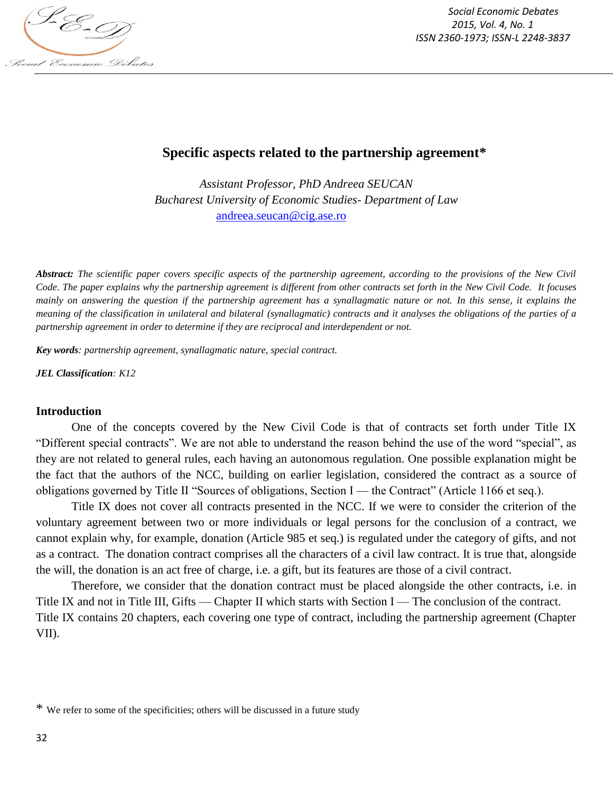

*Social Economic Debates 2015, Vol. 4, No. 1 ISSN 2360-1973; ISSN-L 2248-3837*

# **Specific aspects related to the partnership agreement\***

*Assistant Professor, PhD Andreea SEUCAN Bucharest University of Economic Studies- Department of Law* [andreea.seucan@cig.ase.ro](mailto:andreea.seucan@cig.ase.ro)

*Abstract: The scientific paper covers specific aspects of the partnership agreement, according to the provisions of the New Civil Code. The paper explains why the partnership agreement is different from other contracts set forth in the New Civil Code. It focuses mainly on answering the question if the partnership agreement has a synallagmatic nature or not. In this sense, it explains the meaning of the classification in unilateral and bilateral (synallagmatic) contracts and it analyses the obligations of the parties of a partnership agreement in order to determine if they are reciprocal and interdependent or not.* 

*Key words: partnership agreement, synallagmatic nature, special contract.*

*JEL Classification: K12*

#### **Introduction**

One of the concepts covered by the New Civil Code is that of contracts set forth under Title IX "Different special contracts". We are not able to understand the reason behind the use of the word "special", as they are not related to general rules, each having an autonomous regulation. One possible explanation might be the fact that the authors of the NCC, building on earlier legislation, considered the contract as a source of obligations governed by Title II "Sources of obligations, Section I — the Contract" (Article 1166 et seq.).

Title IX does not cover all contracts presented in the NCC. If we were to consider the criterion of the voluntary agreement between two or more individuals or legal persons for the conclusion of a contract, we cannot explain why, for example, donation (Article 985 et seq.) is regulated under the category of gifts, and not as a contract. The donation contract comprises all the characters of a civil law contract. It is true that, alongside the will, the donation is an act free of charge, i.e. a gift, but its features are those of a civil contract.

Therefore, we consider that the donation contract must be placed alongside the other contracts, i.e. in Title IX and not in Title III, Gifts — Chapter II which starts with Section I — The conclusion of the contract. Title IX contains 20 chapters, each covering one type of contract, including the partnership agreement (Chapter VII).

<sup>\*</sup> We refer to some of the specificities; others will be discussed in a future study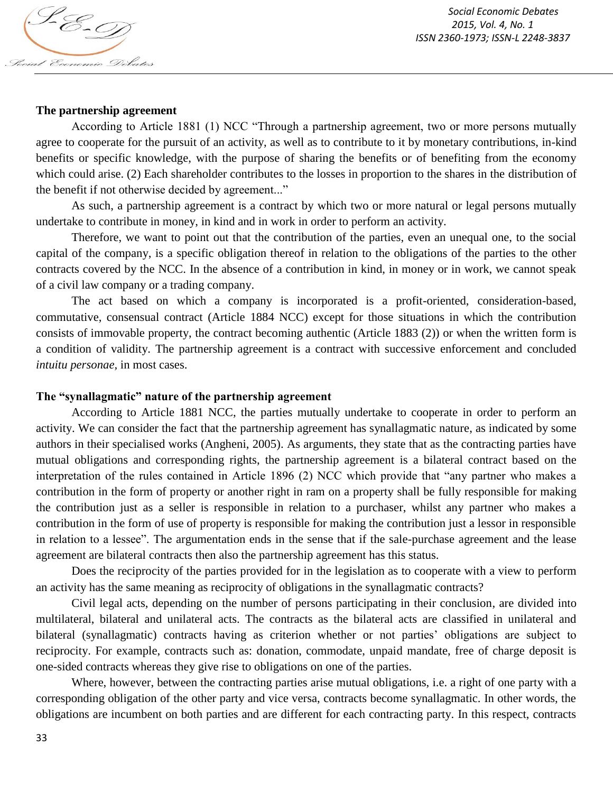

#### **The partnership agreement**

According to Article 1881 (1) NCC "Through a partnership agreement, two or more persons mutually agree to cooperate for the pursuit of an activity, as well as to contribute to it by monetary contributions, in-kind benefits or specific knowledge, with the purpose of sharing the benefits or of benefiting from the economy which could arise. (2) Each shareholder contributes to the losses in proportion to the shares in the distribution of the benefit if not otherwise decided by agreement..."

As such, a partnership agreement is a contract by which two or more natural or legal persons mutually undertake to contribute in money, in kind and in work in order to perform an activity.

Therefore, we want to point out that the contribution of the parties, even an unequal one, to the social capital of the company, is a specific obligation thereof in relation to the obligations of the parties to the other contracts covered by the NCC. In the absence of a contribution in kind, in money or in work, we cannot speak of a civil law company or a trading company.

The act based on which a company is incorporated is a profit-oriented, consideration-based, commutative, consensual contract (Article 1884 NCC) except for those situations in which the contribution consists of immovable property, the contract becoming authentic (Article 1883 (2)) or when the written form is a condition of validity. The partnership agreement is a contract with successive enforcement and concluded *intuitu personae,* in most cases.

## **The "synallagmatic" nature of the partnership agreement**

According to Article 1881 NCC, the parties mutually undertake to cooperate in order to perform an activity. We can consider the fact that the partnership agreement has synallagmatic nature, as indicated by some authors in their specialised works (Angheni, 2005). As arguments, they state that as the contracting parties have mutual obligations and corresponding rights, the partnership agreement is a bilateral contract based on the interpretation of the rules contained in Article 1896 (2) NCC which provide that "any partner who makes a contribution in the form of property or another right in ram on a property shall be fully responsible for making the contribution just as a seller is responsible in relation to a purchaser, whilst any partner who makes a contribution in the form of use of property is responsible for making the contribution just a lessor in responsible in relation to a lessee". The argumentation ends in the sense that if the sale-purchase agreement and the lease agreement are bilateral contracts then also the partnership agreement has this status.

Does the reciprocity of the parties provided for in the legislation as to cooperate with a view to perform an activity has the same meaning as reciprocity of obligations in the synallagmatic contracts?

Civil legal acts, depending on the number of persons participating in their conclusion, are divided into multilateral, bilateral and unilateral acts. The contracts as the bilateral acts are classified in unilateral and bilateral (synallagmatic) contracts having as criterion whether or not parties' obligations are subject to reciprocity. For example, contracts such as: donation, commodate, unpaid mandate, free of charge deposit is one-sided contracts whereas they give rise to obligations on one of the parties.

Where, however, between the contracting parties arise mutual obligations, i.e. a right of one party with a corresponding obligation of the other party and vice versa, contracts become synallagmatic. In other words, the obligations are incumbent on both parties and are different for each contracting party. In this respect, contracts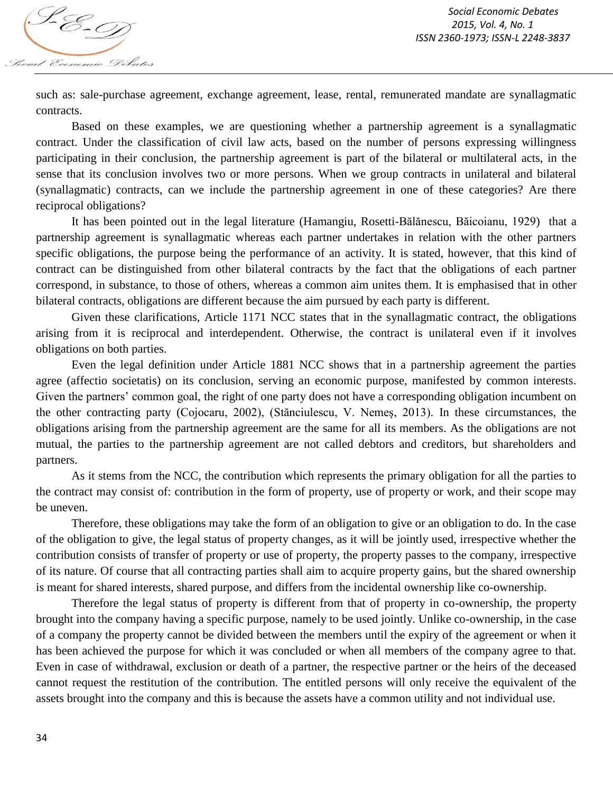such as: sale-purchase agreement, exchange agreement, lease, rental, remunerated mandate are synallagmatic contracts.

Based on these examples, we are questioning whether a partnership agreement is a synallagmatic contract. Under the classification of civil law acts, based on the number of persons expressing willingness participating in their conclusion, the partnership agreement is part of the bilateral or multilateral acts, in the sense that its conclusion involves two or more persons. When we group contracts in unilateral and bilateral (synallagmatic) contracts, can we include the partnership agreement in one of these categories? Are there reciprocal obligations?

It has been pointed out in the legal literature (Hamangiu, Rosetti-Bălănescu, Băicoianu, 1929) that a partnership agreement is synallagmatic whereas each partner undertakes in relation with the other partners specific obligations, the purpose being the performance of an activity. It is stated, however, that this kind of contract can be distinguished from other bilateral contracts by the fact that the obligations of each partner correspond, in substance, to those of others, whereas a common aim unites them. It is emphasised that in other bilateral contracts, obligations are different because the aim pursued by each party is different.

Given these clarifications, Article 1171 NCC states that in the synallagmatic contract, the obligations arising from it is reciprocal and interdependent. Otherwise, the contract is unilateral even if it involves obligations on both parties.

Even the legal definition under Article 1881 NCC shows that in a partnership agreement the parties agree (affectio societatis) on its conclusion, serving an economic purpose, manifested by common interests. Given the partners' common goal, the right of one party does not have a corresponding obligation incumbent on the other contracting party (Cojocaru, 2002), (Stănciulescu, V. Nemeș, 2013). In these circumstances, the obligations arising from the partnership agreement are the same for all its members. As the obligations are not mutual, the parties to the partnership agreement are not called debtors and creditors, but shareholders and partners.

As it stems from the NCC, the contribution which represents the primary obligation for all the parties to the contract may consist of: contribution in the form of property, use of property or work, and their scope may be uneven.

Therefore, these obligations may take the form of an obligation to give or an obligation to do. In the case of the obligation to give, the legal status of property changes, as it will be jointly used, irrespective whether the contribution consists of transfer of property or use of property, the property passes to the company, irrespective of its nature. Of course that all contracting parties shall aim to acquire property gains, but the shared ownership is meant for shared interests, shared purpose, and differs from the incidental ownership like co-ownership.

Therefore the legal status of property is different from that of property in co-ownership, the property brought into the company having a specific purpose, namely to be used jointly. Unlike co-ownership, in the case of a company the property cannot be divided between the members until the expiry of the agreement or when it has been achieved the purpose for which it was concluded or when all members of the company agree to that. Even in case of withdrawal, exclusion or death of a partner, the respective partner or the heirs of the deceased cannot request the restitution of the contribution. The entitled persons will only receive the equivalent of the assets brought into the company and this is because the assets have a common utility and not individual use.